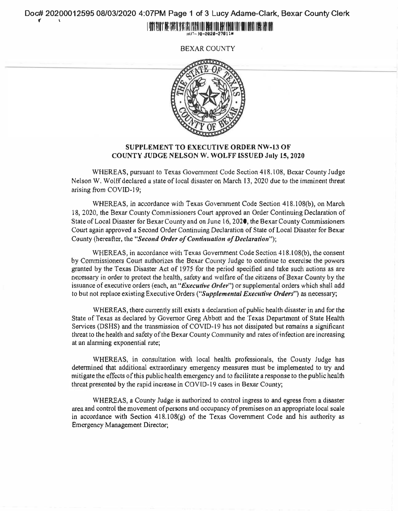Doc# 20200012595 08/03/2020 4:07PM Page 1 of 3 Lucy Adame-Clark, Bexar County Clerk

#### I IVINI BULL'I BA MARTI DINA MALIPEDA ITILI BANI ITILI BA HIMILI ITILI HILI BILI MINI INA MALIPEL III!-· 18-2020-27011M

BEXAR COUNTY



## **SUPPLEMENT TO EXECUTIVE ORDER NW-13 OF COUNTY JUDGE NELSON W. WOLFF ISSUED July 15, 2020**

WHEREAS, pursuant to Texas Government Code Section 418.108, Bexar County Judge Nelson W. Wolff declared a state of local disaster on March 13, 2020 due to the imminent threat arising from COVID-19;

WHEREAS, in accordance with Texas Government Code Section 418.108(b), on March 18, 2020, the Bexar County Commissioners Court approved an Order Continuing Declaration of State of Local Disaster for Bexar County and on June 16, 2020, the Bexar County Commissioners Court again approved a Second Order Continuing Declaration of State of Local Disaster for Bexar County (hereafter, the "Second Order of Continuation of Declaration");

WHEREAS, in accordance with Texas Government Code Section 418.108(b), the consent by Commissioners Court authorizes the Bexar County Judge to continue to exercise the powers granted by the Texas Disaster Act of 1975 for the period specified and take such actions as are nec�sary in order to protect the health, safety and welfare of the citizens of Bexar County by the issuance of executive orders (each, an "*Executive Order*") or supplemental orders which shall add to but not replace existing Executive Orders *("Supplemental Executive Orders'')* as necessary;

WHEREAS, there currently still exists a declaration of public health disaster in and for the State of Texas as declared by Governor Greg Abbott and the Texas Department of State Health Services (DSHS) and the transmission of COVI0-19 has not dissipated but remains a significant threat to the health and safety of the Bexar County Community and rates of infection are increasing at an alanning exponential rate;

WHEREAS, in consultation with local health professionals, the County Judge has determined that additional extraordinary emergency measures must be implemented to try and mitigate the e <sup>f</sup>fects of this public health emergency and to facilitate a response to the public health threat presented by the rapid increase in COVID-19 cases in Bexar County;

WHEREAS, a County Judge is authorized to control ingress to and egress from a disaster urea and control the movement of persons and occupancy of premises on an appropriate local scale in accordance with Section  $418.108(g)$  of the Texas Government Code and his authority as Emergency Management Director;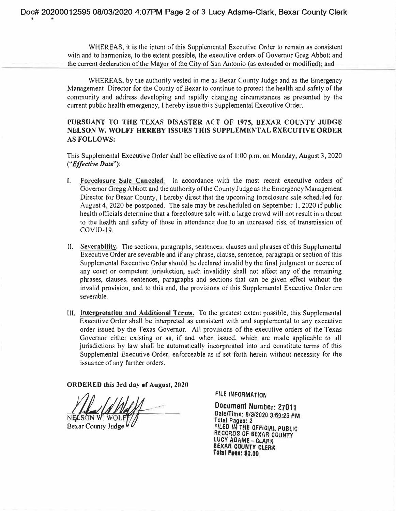WHEREAS, it is the intent of this Supplemental Executive Order to remain as consistent with and to harmonize, to the extent possible, the executive orders of Governor Greg Abbott and the current declaration of the Mayor of the City of San Antonio (as extended or modified); and

WHEREAS, by the authority vested in me as Bexar County Judge and as the Emergency Management Director for the County of Bexar to continue to protect the health and safety of the community and address developing and rapidly changing circumstances as presented by the current public health emergency, I hereby issue this Supplemental Executive Order.

# **PURSUANT TO THE TEXAS D(SASTER ACT OF 1975, BEXAR COUNTY JUDGE NELSON W. WOLFF HEREBY ISSUES THIS SUPPLEMENTAL EXECUTIVE ORDER AS FOLLOWS:**

This Supplemental Executive Order shall be effective as of 1 :00 p.m. on Monday, August 3, 2020 *("Effective Date");* 

- I. **Foreclosure Sule Canceled.** fn accordance with the most recent executive orders of Governor Gregg Abbott and the authority of the County Judge as the Emergency Management Director for Bexar County, I hereby direct that the upcoming foreclosure sale scheduled for August 4, 2020 be postponed. The sale may be rescheduled on September 1, 2020 if public health officials detenninc that a foreclosure sale with a large crowd will not result in a threat to the health and safety of those in attendance due to an increased risk of transmission of COVID-19.
- CI. **Sever-ablllty.** The sections, paragraphs, sentences, clausc;s and phrases of this Supplemental Executive Order are severable and if any phrase, clause, sentence, paragraph or section of this Supplemental Executive Order should be declared invalid by the final judgment or decree of any court or competent jurisdiction, such invalidity shall not affect any of the remaining phrases, clauses, sentences, paragraphs and sections that can be given effect without the invalid provision, and to this end, the provisions of this Supplemental Executive Order are severable.
- III. **Interpretation and Additional Terms.** To the greatest extent possible, this Supplemental Executive Order shall be interpreted as consistent with and supplemental to any executive order issued by the Texas Governor. All provisions of the executive orders of the Texas Governor either existing or as, if and when issued, which are made applicable to all jurisdictions by law shall be automatically incorporated into and constitute terms of this Supplemental Executive Order, enforceable as if set forth herein without necessity for the issuance of any further orders,

**ORDERED this 3rd day of August, 2020** 

N**EL**SON W. WOLF

Bexar County Judge

I a

**FILE INFORMATION**

Document Number: 27011 Date/Time: 8/3/2020 3:59:23 PM FILED IN THE OFFICIAL PUBLIC **Total Pages: 2** RECORDS OF BEXAR COUNTY LUCY ADAME - CLARK BEXAR COUNTY CLERK<br>Total **Mee: \$0.00**